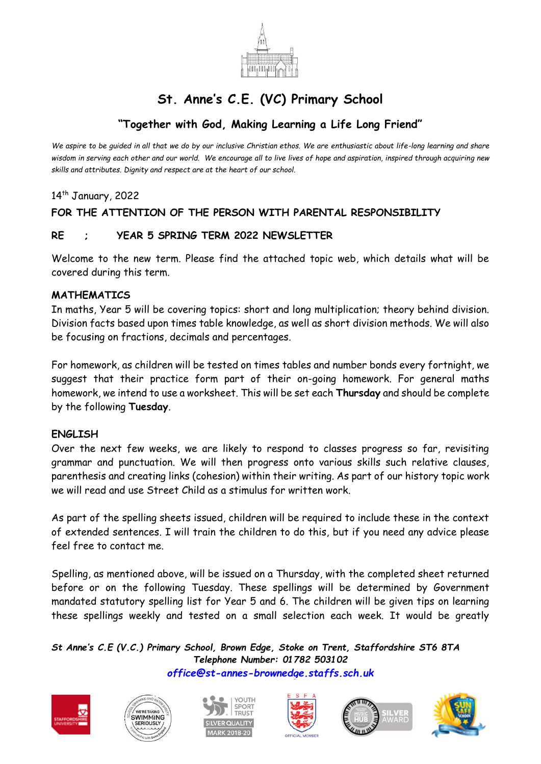

# **St. Anne's C.E. (VC) Primary School**

## **"Together with God, Making Learning a Life Long Friend"**

*We aspire to be guided in all that we do by our inclusive Christian ethos. We are enthusiastic about life-long learning and share wisdom in serving each other and our world. We encourage all to live lives of hope and aspiration, inspired through acquiring new skills and attributes. Dignity and respect are at the heart of our school.*

14<sup>th</sup> January, 2022

### **FOR THE ATTENTION OF THE PERSON WITH PARENTAL RESPONSIBILITY**

#### **RE ; YEAR 5 SPRING TERM 2022 NEWSLETTER**

Welcome to the new term. Please find the attached topic web, which details what will be covered during this term.

#### **MATHEMATICS**

In maths, Year 5 will be covering topics: short and long multiplication; theory behind division. Division facts based upon times table knowledge, as well as short division methods. We will also be focusing on fractions, decimals and percentages.

For homework, as children will be tested on times tables and number bonds every fortnight, we suggest that their practice form part of their on-going homework. For general maths homework, we intend to use a worksheet. This will be set each **Thursday** and should be complete by the following **Tuesday**.

#### **ENGLISH**

Over the next few weeks, we are likely to respond to classes progress so far, revisiting grammar and punctuation. We will then progress onto various skills such relative clauses, parenthesis and creating links (cohesion) within their writing. As part of our history topic work we will read and use Street Child as a stimulus for written work.

As part of the spelling sheets issued, children will be required to include these in the context of extended sentences. I will train the children to do this, but if you need any advice please feel free to contact me.

Spelling, as mentioned above, will be issued on a Thursday, with the completed sheet returned before or on the following Tuesday. These spellings will be determined by Government mandated statutory spelling list for Year 5 and 6. The children will be given tips on learning these spellings weekly and tested on a small selection each week. It would be greatly

*St Anne's C.E (V.C.) Primary School, Brown Edge, Stoke on Trent, Staffordshire ST6 8TA Telephone Number: 01782 503102 [office@st-annes-brownedge.staffs.sch.uk](mailto:office@st-annes-brownedge.staffs.sch.uk)*